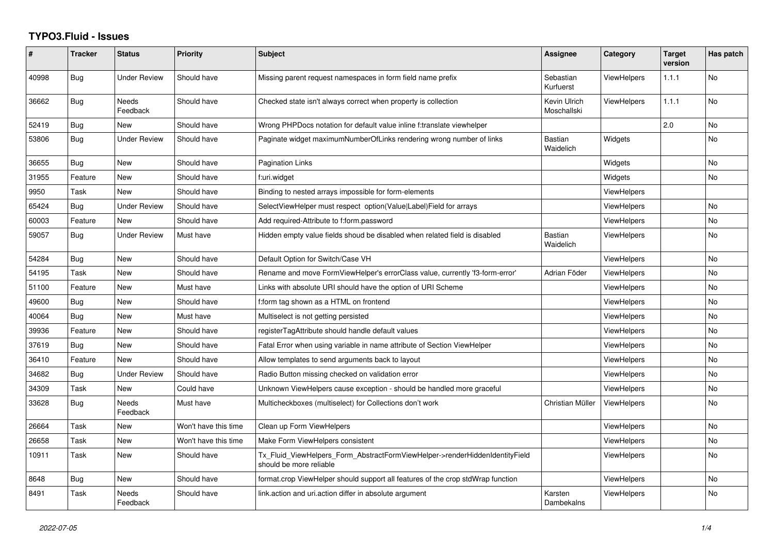## **TYPO3.Fluid - Issues**

| ∦     | <b>Tracker</b> | <b>Status</b>            | <b>Priority</b>      | <b>Subject</b>                                                                                         | <b>Assignee</b>             | Category           | <b>Target</b><br>version | Has patch |
|-------|----------------|--------------------------|----------------------|--------------------------------------------------------------------------------------------------------|-----------------------------|--------------------|--------------------------|-----------|
| 40998 | <b>Bug</b>     | <b>Under Review</b>      | Should have          | Missing parent request namespaces in form field name prefix                                            | Sebastian<br>Kurfuerst      | <b>ViewHelpers</b> | 1.1.1                    | <b>No</b> |
| 36662 | <b>Bug</b>     | <b>Needs</b><br>Feedback | Should have          | Checked state isn't always correct when property is collection                                         | Kevin Ulrich<br>Moschallski | <b>ViewHelpers</b> | 1.1.1                    | <b>No</b> |
| 52419 | <b>Bug</b>     | <b>New</b>               | Should have          | Wrong PHPDocs notation for default value inline f:translate viewhelper                                 |                             |                    | 2.0                      | <b>No</b> |
| 53806 | Bug            | <b>Under Review</b>      | Should have          | Paginate widget maximumNumberOfLinks rendering wrong number of links                                   | Bastian<br>Waidelich        | Widgets            |                          | <b>No</b> |
| 36655 | Bug            | New                      | Should have          | Pagination Links                                                                                       |                             | Widgets            |                          | No        |
| 31955 | Feature        | New                      | Should have          | f:uri.widget                                                                                           |                             | Widgets            |                          | No        |
| 9950  | Task           | New                      | Should have          | Binding to nested arrays impossible for form-elements                                                  |                             | ViewHelpers        |                          |           |
| 65424 | Bug            | Under Review             | Should have          | SelectViewHelper must respect option(Value Label)Field for arrays                                      |                             | <b>ViewHelpers</b> |                          | No        |
| 60003 | Feature        | New                      | Should have          | Add required-Attribute to f:form.password                                                              |                             | <b>ViewHelpers</b> |                          | No        |
| 59057 | Bug            | Under Review             | Must have            | Hidden empty value fields shoud be disabled when related field is disabled                             | <b>Bastian</b><br>Waidelich | <b>ViewHelpers</b> |                          | <b>No</b> |
| 54284 | Bug            | <b>New</b>               | Should have          | Default Option for Switch/Case VH                                                                      |                             | <b>ViewHelpers</b> |                          | <b>No</b> |
| 54195 | Task           | <b>New</b>               | Should have          | Rename and move FormViewHelper's errorClass value, currently 'f3-form-error'                           | Adrian Föder                | <b>ViewHelpers</b> |                          | <b>No</b> |
| 51100 | Feature        | New                      | Must have            | Links with absolute URI should have the option of URI Scheme                                           |                             | ViewHelpers        |                          | <b>No</b> |
| 49600 | Bug            | New                      | Should have          | f:form tag shown as a HTML on frontend                                                                 |                             | <b>ViewHelpers</b> |                          | No        |
| 40064 | Bug            | <b>New</b>               | Must have            | Multiselect is not getting persisted                                                                   |                             | <b>ViewHelpers</b> |                          | <b>No</b> |
| 39936 | Feature        | New                      | Should have          | registerTagAttribute should handle default values                                                      |                             | ViewHelpers        |                          | No        |
| 37619 | Bug            | <b>New</b>               | Should have          | Fatal Error when using variable in name attribute of Section ViewHelper                                |                             | <b>ViewHelpers</b> |                          | No        |
| 36410 | Feature        | <b>New</b>               | Should have          | Allow templates to send arguments back to layout                                                       |                             | <b>ViewHelpers</b> |                          | <b>No</b> |
| 34682 | Bug            | <b>Under Review</b>      | Should have          | Radio Button missing checked on validation error                                                       |                             | <b>ViewHelpers</b> |                          | <b>No</b> |
| 34309 | Task           | <b>New</b>               | Could have           | Unknown ViewHelpers cause exception - should be handled more graceful                                  |                             | ViewHelpers        |                          | No        |
| 33628 | Bug            | <b>Needs</b><br>Feedback | Must have            | Multicheckboxes (multiselect) for Collections don't work                                               | Christian Müller            | <b>ViewHelpers</b> |                          | <b>No</b> |
| 26664 | Task           | New                      | Won't have this time | Clean up Form ViewHelpers                                                                              |                             | <b>ViewHelpers</b> |                          | No        |
| 26658 | Task           | <b>New</b>               | Won't have this time | Make Form ViewHelpers consistent                                                                       |                             | <b>ViewHelpers</b> |                          | <b>No</b> |
| 10911 | Task           | New                      | Should have          | Tx Fluid ViewHelpers Form AbstractFormViewHelper->renderHiddenIdentityField<br>should be more reliable |                             | ViewHelpers        |                          | No        |
| 8648  | Bug            | New                      | Should have          | format.crop ViewHelper should support all features of the crop stdWrap function                        |                             | <b>ViewHelpers</b> |                          | No        |
| 8491  | Task           | Needs<br>Feedback        | Should have          | link.action and uri.action differ in absolute argument                                                 | Karsten<br>Dambekalns       | <b>ViewHelpers</b> |                          | <b>No</b> |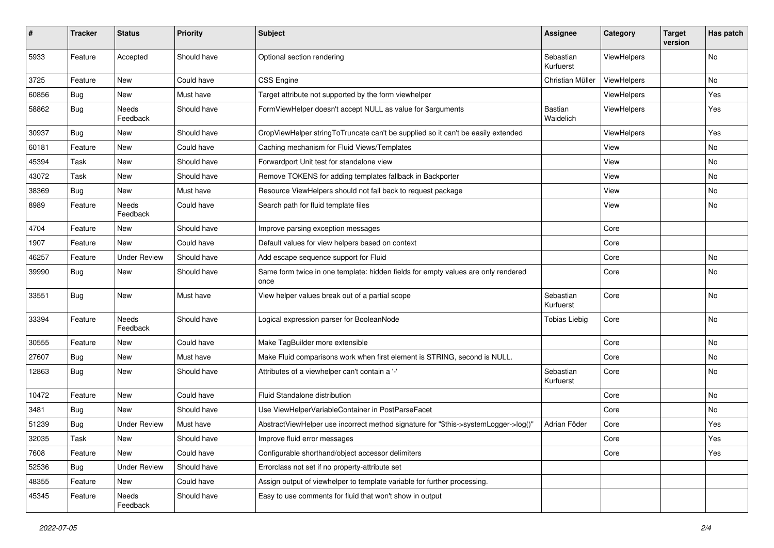| #     | <b>Tracker</b> | <b>Status</b>       | <b>Priority</b> | <b>Subject</b>                                                                            | <b>Assignee</b>             | Category    | <b>Target</b><br>version | Has patch |
|-------|----------------|---------------------|-----------------|-------------------------------------------------------------------------------------------|-----------------------------|-------------|--------------------------|-----------|
| 5933  | Feature        | Accepted            | Should have     | Optional section rendering                                                                | Sebastian<br>Kurfuerst      | ViewHelpers |                          | No        |
| 3725  | Feature        | New                 | Could have      | <b>CSS Engine</b>                                                                         | Christian Müller            | ViewHelpers |                          | No        |
| 60856 | Bug            | New                 | Must have       | Target attribute not supported by the form viewhelper                                     |                             | ViewHelpers |                          | Yes       |
| 58862 | Bug            | Needs<br>Feedback   | Should have     | FormViewHelper doesn't accept NULL as value for \$arguments                               | <b>Bastian</b><br>Waidelich | ViewHelpers |                          | Yes       |
| 30937 | Bug            | New                 | Should have     | CropViewHelper stringToTruncate can't be supplied so it can't be easily extended          |                             | ViewHelpers |                          | Yes       |
| 60181 | Feature        | New                 | Could have      | Caching mechanism for Fluid Views/Templates                                               |                             | View        |                          | No        |
| 45394 | Task           | New                 | Should have     | Forwardport Unit test for standalone view                                                 |                             | View        |                          | No        |
| 43072 | Task           | New                 | Should have     | Remove TOKENS for adding templates fallback in Backporter                                 |                             | View        |                          | No        |
| 38369 | <b>Bug</b>     | New                 | Must have       | Resource ViewHelpers should not fall back to request package                              |                             | View        |                          | No        |
| 8989  | Feature        | Needs<br>Feedback   | Could have      | Search path for fluid template files                                                      |                             | View        |                          | No        |
| 4704  | Feature        | <b>New</b>          | Should have     | Improve parsing exception messages                                                        |                             | Core        |                          |           |
| 1907  | Feature        | New                 | Could have      | Default values for view helpers based on context                                          |                             | Core        |                          |           |
| 46257 | Feature        | <b>Under Review</b> | Should have     | Add escape sequence support for Fluid                                                     |                             | Core        |                          | No        |
| 39990 | Bug            | New                 | Should have     | Same form twice in one template: hidden fields for empty values are only rendered<br>once |                             | Core        |                          | No        |
| 33551 | <b>Bug</b>     | New                 | Must have       | View helper values break out of a partial scope                                           | Sebastian<br>Kurfuerst      | Core        |                          | No        |
| 33394 | Feature        | Needs<br>Feedback   | Should have     | Logical expression parser for BooleanNode                                                 | <b>Tobias Liebig</b>        | Core        |                          | No        |
| 30555 | Feature        | New                 | Could have      | Make TagBuilder more extensible                                                           |                             | Core        |                          | No        |
| 27607 | <b>Bug</b>     | New                 | Must have       | Make Fluid comparisons work when first element is STRING, second is NULL.                 |                             | Core        |                          | No        |
| 12863 | Bug            | New                 | Should have     | Attributes of a viewhelper can't contain a '-'                                            | Sebastian<br>Kurfuerst      | Core        |                          | No        |
| 10472 | Feature        | New                 | Could have      | Fluid Standalone distribution                                                             |                             | Core        |                          | No        |
| 3481  | Bug            | <b>New</b>          | Should have     | Use ViewHelperVariableContainer in PostParseFacet                                         |                             | Core        |                          | No.       |
| 51239 | <b>Bug</b>     | <b>Under Review</b> | Must have       | AbstractViewHelper use incorrect method signature for "\$this->systemLogger->log()"       | Adrian Föder                | Core        |                          | Yes       |
| 32035 | Task           | New                 | Should have     | Improve fluid error messages                                                              |                             | Core        |                          | Yes       |
| 7608  | Feature        | New                 | Could have      | Configurable shorthand/object accessor delimiters                                         |                             | Core        |                          | Yes       |
| 52536 | Bug            | <b>Under Review</b> | Should have     | Errorclass not set if no property-attribute set                                           |                             |             |                          |           |
| 48355 | Feature        | New                 | Could have      | Assign output of viewhelper to template variable for further processing.                  |                             |             |                          |           |
| 45345 | Feature        | Needs<br>Feedback   | Should have     | Easy to use comments for fluid that won't show in output                                  |                             |             |                          |           |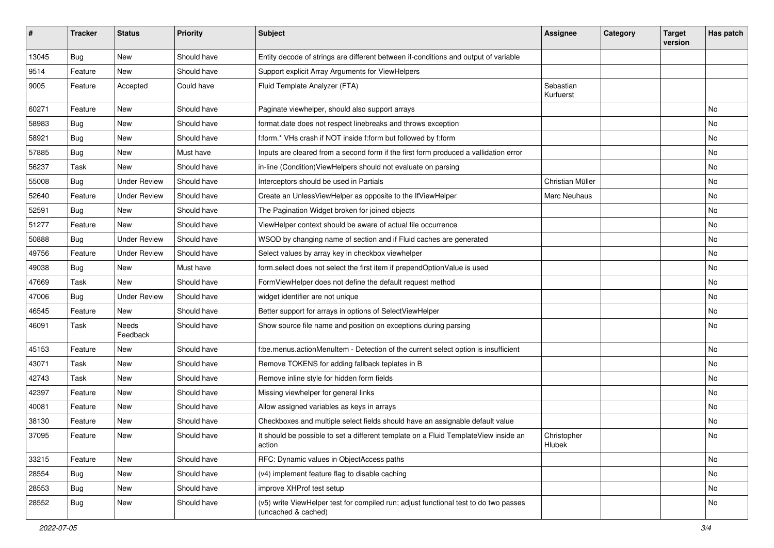| #     | <b>Tracker</b> | <b>Status</b>       | <b>Priority</b> | Subject                                                                                                     | <b>Assignee</b>        | Category | <b>Target</b><br>version | Has patch |
|-------|----------------|---------------------|-----------------|-------------------------------------------------------------------------------------------------------------|------------------------|----------|--------------------------|-----------|
| 13045 | Bug            | New                 | Should have     | Entity decode of strings are different between if-conditions and output of variable                         |                        |          |                          |           |
| 9514  | Feature        | <b>New</b>          | Should have     | Support explicit Array Arguments for ViewHelpers                                                            |                        |          |                          |           |
| 9005  | Feature        | Accepted            | Could have      | Fluid Template Analyzer (FTA)                                                                               | Sebastian<br>Kurfuerst |          |                          |           |
| 60271 | Feature        | New                 | Should have     | Paginate viewhelper, should also support arrays                                                             |                        |          |                          | No        |
| 58983 | Bug            | New                 | Should have     | format.date does not respect linebreaks and throws exception                                                |                        |          |                          | No        |
| 58921 | Bug            | New                 | Should have     | f:form.* VHs crash if NOT inside f:form but followed by f:form                                              |                        |          |                          | No        |
| 57885 | Bug            | New                 | Must have       | Inputs are cleared from a second form if the first form produced a vallidation error                        |                        |          |                          | No        |
| 56237 | Task           | New                 | Should have     | in-line (Condition) View Helpers should not evaluate on parsing                                             |                        |          |                          | No        |
| 55008 | Bug            | <b>Under Review</b> | Should have     | Interceptors should be used in Partials                                                                     | Christian Müller       |          |                          | No        |
| 52640 | Feature        | <b>Under Review</b> | Should have     | Create an UnlessViewHelper as opposite to the IfViewHelper                                                  | Marc Neuhaus           |          |                          | No        |
| 52591 | Bug            | New                 | Should have     | The Pagination Widget broken for joined objects                                                             |                        |          |                          | No        |
| 51277 | Feature        | New                 | Should have     | ViewHelper context should be aware of actual file occurrence                                                |                        |          |                          | No        |
| 50888 | Bug            | <b>Under Review</b> | Should have     | WSOD by changing name of section and if Fluid caches are generated                                          |                        |          |                          | No        |
| 49756 | Feature        | <b>Under Review</b> | Should have     | Select values by array key in checkbox viewhelper                                                           |                        |          |                          | No        |
| 49038 | Bug            | New                 | Must have       | form.select does not select the first item if prependOptionValue is used                                    |                        |          |                          | No        |
| 47669 | Task           | New                 | Should have     | FormViewHelper does not define the default request method                                                   |                        |          |                          | No        |
| 47006 | Bug            | <b>Under Review</b> | Should have     | widget identifier are not unique                                                                            |                        |          |                          | No        |
| 46545 | Feature        | <b>New</b>          | Should have     | Better support for arrays in options of SelectViewHelper                                                    |                        |          |                          | No        |
| 46091 | Task           | Needs<br>Feedback   | Should have     | Show source file name and position on exceptions during parsing                                             |                        |          |                          | No        |
| 45153 | Feature        | New                 | Should have     | f:be.menus.actionMenuItem - Detection of the current select option is insufficient                          |                        |          |                          | No        |
| 43071 | Task           | New                 | Should have     | Remove TOKENS for adding fallback teplates in B                                                             |                        |          |                          | No        |
| 42743 | Task           | New                 | Should have     | Remove inline style for hidden form fields                                                                  |                        |          |                          | No        |
| 42397 | Feature        | New                 | Should have     | Missing viewhelper for general links                                                                        |                        |          |                          | No        |
| 40081 | Feature        | New                 | Should have     | Allow assigned variables as keys in arrays                                                                  |                        |          |                          | No        |
| 38130 | Feature        | New                 | Should have     | Checkboxes and multiple select fields should have an assignable default value                               |                        |          |                          | No        |
| 37095 | Feature        | New                 | Should have     | It should be possible to set a different template on a Fluid TemplateView inside an<br>action               | Christopher<br>Hlubek  |          |                          | No        |
| 33215 | Feature        | New                 | Should have     | RFC: Dynamic values in ObjectAccess paths                                                                   |                        |          |                          | No        |
| 28554 | Bug            | New                 | Should have     | (v4) implement feature flag to disable caching                                                              |                        |          |                          | No        |
| 28553 | Bug            | New                 | Should have     | improve XHProf test setup                                                                                   |                        |          |                          | No        |
| 28552 | <b>Bug</b>     | New                 | Should have     | (v5) write ViewHelper test for compiled run; adjust functional test to do two passes<br>(uncached & cached) |                        |          |                          | No        |